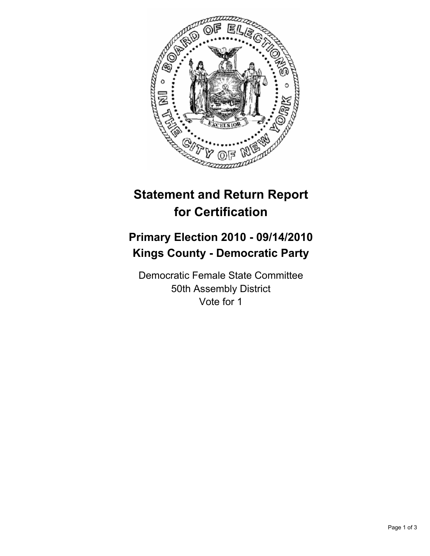

## **Statement and Return Report for Certification**

## **Primary Election 2010 - 09/14/2010 Kings County - Democratic Party**

Democratic Female State Committee 50th Assembly District Vote for 1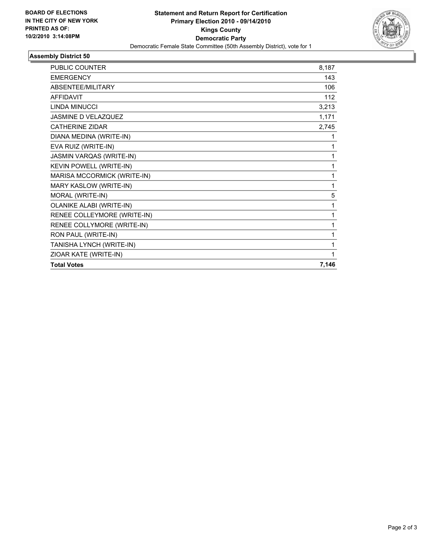

## **Assembly District 50**

| <b>PUBLIC COUNTER</b>           | 8,187 |
|---------------------------------|-------|
| <b>EMERGENCY</b>                | 143   |
| ABSENTEE/MILITARY               | 106   |
| <b>AFFIDAVIT</b>                | 112   |
| <b>LINDA MINUCCI</b>            | 3,213 |
| JASMINE D VELAZQUEZ             | 1,171 |
| <b>CATHERINE ZIDAR</b>          | 2,745 |
| DIANA MEDINA (WRITE-IN)         | 1     |
| EVA RUIZ (WRITE-IN)             | 1     |
| JASMIN VARQAS (WRITE-IN)        | 1     |
| KEVIN POWELL (WRITE-IN)         | 1     |
| MARISA MCCORMICK (WRITE-IN)     | 1     |
| MARY KASLOW (WRITE-IN)          | 1     |
| MORAL (WRITE-IN)                | 5     |
| <b>OLANIKE ALABI (WRITE-IN)</b> | 1     |
| RENEE COLLEYMORE (WRITE-IN)     | 1     |
| RENEE COLLYMORE (WRITE-IN)      | 1     |
| RON PAUL (WRITE-IN)             | 1     |
| TANISHA LYNCH (WRITE-IN)        | 1     |
| ZIOAR KATE (WRITE-IN)           | 1     |
| <b>Total Votes</b>              | 7,146 |